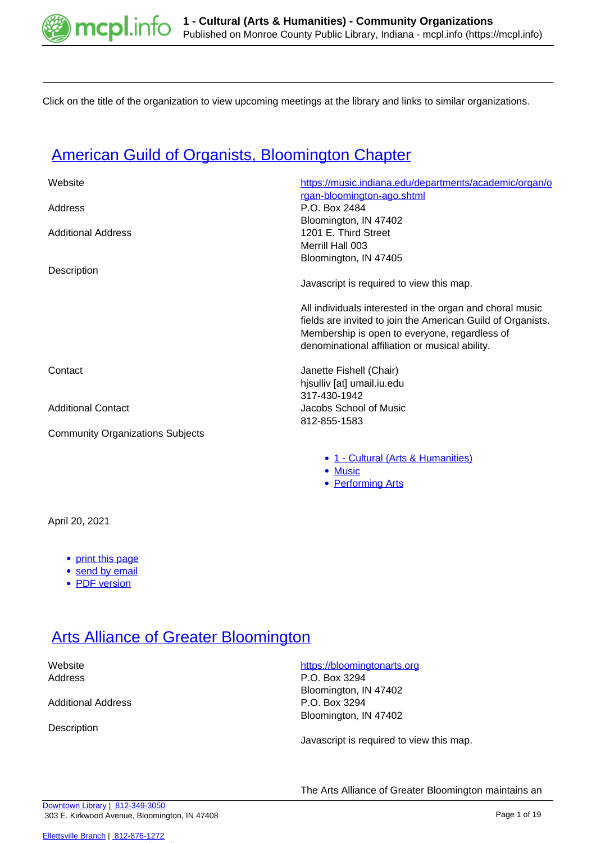

Click on the title of the organization to view upcoming meetings at the library and links to similar organizations.

### **[American Guild of Organists, Bloomington Chapter](https://mcpl.info/commorg/american-guild-organists-bloomington-chapter)**

| Website                                 | https://music.indiana.edu/departments/academic/organ/o      |
|-----------------------------------------|-------------------------------------------------------------|
|                                         | rgan-bloomington-ago.shtml                                  |
| Address                                 | P.O. Box 2484                                               |
|                                         | Bloomington, IN 47402                                       |
| <b>Additional Address</b>               | 1201 E. Third Street                                        |
|                                         | Merrill Hall 003                                            |
|                                         | Bloomington, IN 47405                                       |
| Description                             |                                                             |
|                                         | Javascript is required to view this map.                    |
|                                         | All individuals interested in the organ and choral music    |
|                                         | fields are invited to join the American Guild of Organists. |
|                                         | Membership is open to everyone, regardless of               |
|                                         | denominational affiliation or musical ability.              |
| Contact                                 | Janette Fishell (Chair)                                     |
|                                         | hisulliv [at] umail.iu.edu                                  |
|                                         | 317-430-1942                                                |
| <b>Additional Contact</b>               | Jacobs School of Music                                      |
|                                         | 812-855-1583                                                |
| <b>Community Organizations Subjects</b> |                                                             |
|                                         |                                                             |

- [1 Cultural \(Arts & Humanities\)](https://mcpl.info/community-organization-subjects/24945)
- [Music](https://mcpl.info/taxonomy/term/25029)
- [Performing Arts](https://mcpl.info/taxonomy/term/25031)

April 20, 2021

- [print this page](https://mcpl.info/print/commorg/american-guild-organists-bloomington-chapter?mini=2021-09)
- [send by email](https://mcpl.info/printmail/commorg/american-guild-organists-bloomington-chapter?mini=2021-09)
- [PDF version](https://mcpl.info/printpdf/commorg/american-guild-organists-bloomington-chapter?mini=2021-09)

### **[Arts Alliance of Greater Bloomington](https://mcpl.info/commorg/arts-alliance-greater-bloomington)**

Additional Address **P.O. Box 3294** 

Description

#### Website **<https://bloomingtonarts.org>**

Address P.O. Box 3294 Bloomington, IN 47402 Bloomington, IN 47402

Javascript is required to view this map.

The Arts Alliance of Greater Bloomington maintains an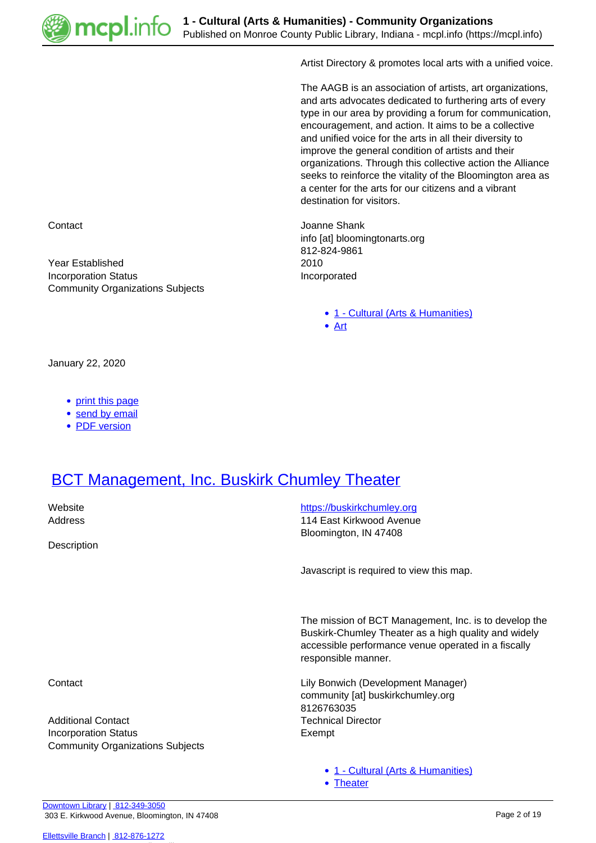

Artist Directory & promotes local arts with a unified voice.

The AAGB is an association of artists, art organizations, and arts advocates dedicated to furthering arts of every type in our area by providing a forum for communication, encouragement, and action. It aims to be a collective and unified voice for the arts in all their diversity to improve the general condition of artists and their organizations. Through this collective action the Alliance seeks to reinforce the vitality of the Bloomington area as a center for the arts for our citizens and a vibrant destination for visitors.

**Contact** Contact **Joanne Shank** info [at] bloomingtonarts.org 812-824-9861 Year Established 2010 Incorporation Status **Incorporated** 

• [1 - Cultural \(Arts & Humanities\)](https://mcpl.info/community-organization-subjects/24945)

[Art](https://mcpl.info/taxonomy/term/25010)

• [Theater](https://mcpl.info/taxonomy/term/25042)

January 22, 2020

• [print this page](https://mcpl.info/print/commorg/arts-alliance-greater-bloomington?mini=2021-09)

Community Organizations Subjects

- [send by email](https://mcpl.info/printmail/commorg/arts-alliance-greater-bloomington?mini=2021-09)
- [PDF version](https://mcpl.info/printpdf/commorg/arts-alliance-greater-bloomington?mini=2021-09)

#### **[BCT Management, Inc. Buskirk Chumley Theater](https://mcpl.info/commorg/bct-management-inc-buskirk-chumley-theater)**

| Website<br>Address                                                     | https://buskirkchumley.org<br>114 East Kirkwood Avenue<br>Bloomington, IN 47408                                                                                                             |
|------------------------------------------------------------------------|---------------------------------------------------------------------------------------------------------------------------------------------------------------------------------------------|
| Description                                                            |                                                                                                                                                                                             |
|                                                                        | Javascript is required to view this map.                                                                                                                                                    |
|                                                                        | The mission of BCT Management, Inc. is to develop the<br>Buskirk-Chumley Theater as a high quality and widely<br>accessible performance venue operated in a fiscally<br>responsible manner. |
| Contact                                                                | Lily Bonwich (Development Manager)<br>community [at] buskirkchumley.org<br>8126763035                                                                                                       |
| <b>Additional Contact</b>                                              | <b>Technical Director</b>                                                                                                                                                                   |
| <b>Incorporation Status</b><br><b>Community Organizations Subjects</b> | Exempt                                                                                                                                                                                      |
|                                                                        | • 1 - Cultural (Arts & Humanities)                                                                                                                                                          |

[Downtown Library](https://mcpl.info/geninfo/downtown-library) | [812-349-3050](tel:812-349-3050) 303 E. Kirkwood Avenue, Bloomington, IN 47408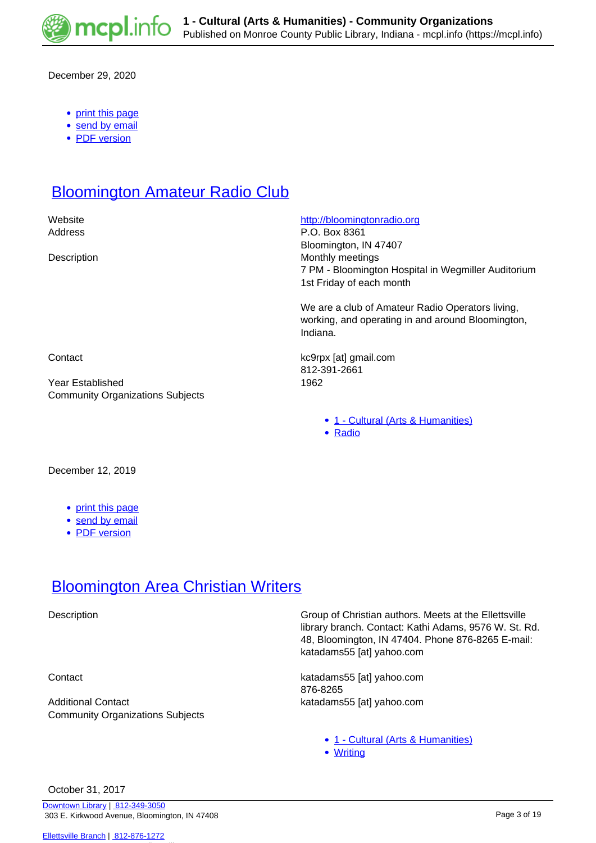

December 29, 2020

- [print this page](https://mcpl.info/print/commorg/bct-management-inc-buskirk-chumley-theater?mini=2021-09)
- [send by email](https://mcpl.info/printmail/commorg/bct-management-inc-buskirk-chumley-theater?mini=2021-09)
- [PDF version](https://mcpl.info/printpdf/commorg/bct-management-inc-buskirk-chumley-theater?mini=2021-09)

#### **[Bloomington Amateur Radio Club](https://mcpl.info/commorg/bloomington-amateur-radio-club)**

Website **<http://bloomingtonradio.org>** 

Address P.O. Box 8361 Bloomington, IN 47407 Description **Monthly meetings** 7 PM - Bloomington Hospital in Wegmiller Auditorium 1st Friday of each month

> We are a club of Amateur Radio Operators living, working, and operating in and around Bloomington, Indiana.

Contact kc9rpx [at] gmail.com 812-391-2661

- [1 Cultural \(Arts & Humanities\)](https://mcpl.info/community-organization-subjects/24945)
- [Radio](https://mcpl.info/taxonomy/term/25036)

Year Established 1962 Community Organizations Subjects

December 12, 2019

- [print this page](https://mcpl.info/print/commorg/bloomington-amateur-radio-club?mini=2021-09)
- [send by email](https://mcpl.info/printmail/commorg/bloomington-amateur-radio-club?mini=2021-09)
- [PDF version](https://mcpl.info/printpdf/commorg/bloomington-amateur-radio-club?mini=2021-09)

#### **[Bloomington Area Christian Writers](https://mcpl.info/commorg/bloomington-area-christian-writers)**

Additional Contact katadams55 [at] yahoo.com Community Organizations Subjects

Description **Group of Christian authors.** Meets at the Ellettsville library branch. Contact: Kathi Adams, 9576 W. St. Rd. 48, Bloomington, IN 47404. Phone 876-8265 E-mail: katadams55 [at] yahoo.com

Contact katadams55 [at] yahoo.com 876-8265

- [1 Cultural \(Arts & Humanities\)](https://mcpl.info/community-organization-subjects/24945)
- [Writing](https://mcpl.info/taxonomy/term/25046)

October 31, 2017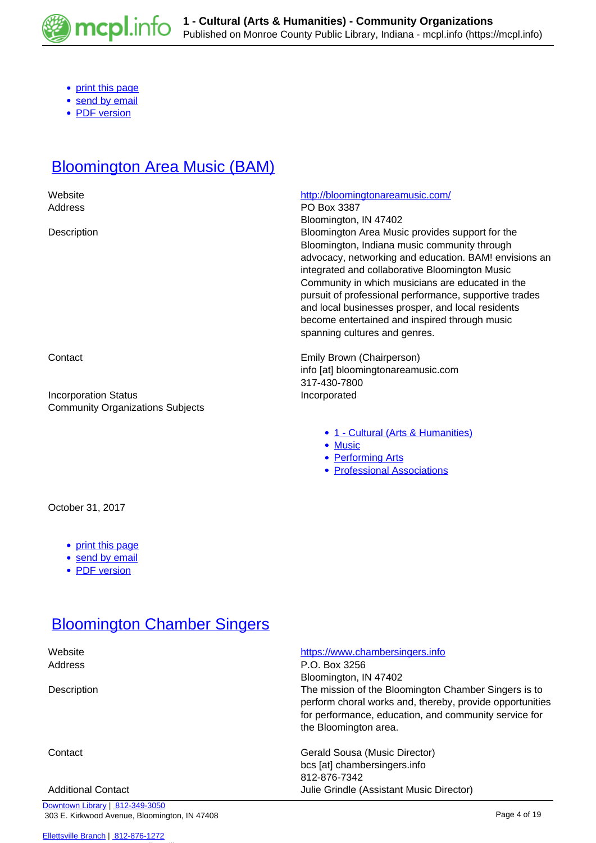

- [print this page](https://mcpl.info/print/commorg/bloomington-area-christian-writers?mini=2021-09)
- [send by email](https://mcpl.info/printmail/commorg/bloomington-area-christian-writers?mini=2021-09)
- [PDF version](https://mcpl.info/printpdf/commorg/bloomington-area-christian-writers?mini=2021-09)

# **[Bloomington Area Music \(BAM\)](https://mcpl.info/commorg/bloomington-area-music-bam)**

| Website                                 | http://bloomingtonareamusic.com/                                                                      |
|-----------------------------------------|-------------------------------------------------------------------------------------------------------|
| Address                                 | PO Box 3387                                                                                           |
|                                         | Bloomington, IN 47402                                                                                 |
| Description                             | Bloomington Area Music provides support for the                                                       |
|                                         | Bloomington, Indiana music community through<br>advocacy, networking and education. BAM! envisions an |
|                                         | integrated and collaborative Bloomington Music                                                        |
|                                         | Community in which musicians are educated in the                                                      |
|                                         | pursuit of professional performance, supportive trades                                                |
|                                         | and local businesses prosper, and local residents                                                     |
|                                         | become entertained and inspired through music                                                         |
|                                         | spanning cultures and genres.                                                                         |
| Contact                                 | Emily Brown (Chairperson)                                                                             |
|                                         | info [at] bloomingtonareamusic.com                                                                    |
|                                         | 317-430-7800                                                                                          |
| <b>Incorporation Status</b>             | Incorporated                                                                                          |
| <b>Community Organizations Subjects</b> |                                                                                                       |
|                                         | • 1 - Cultural (Arts & Humanities)                                                                    |
|                                         | • Music                                                                                               |
|                                         | • Performing Arts                                                                                     |
|                                         | • Professional Associations                                                                           |
|                                         |                                                                                                       |
| October 31, 2017                        |                                                                                                       |
|                                         |                                                                                                       |
| print this page<br>$\bullet$            |                                                                                                       |
| • send by email                         |                                                                                                       |
| • PDF version                           |                                                                                                       |
|                                         |                                                                                                       |
|                                         |                                                                                                       |
| <b>Bloomington Chamber Singers</b>      |                                                                                                       |

| Website                         | https://www.chambersingers.info                          |
|---------------------------------|----------------------------------------------------------|
| Address                         | P.O. Box 3256                                            |
|                                 | Bloomington, IN 47402                                    |
| Description                     | The mission of the Bloomington Chamber Singers is to     |
|                                 | perform choral works and, thereby, provide opportunities |
|                                 | for performance, education, and community service for    |
|                                 | the Bloomington area.                                    |
| Contact                         | Gerald Sousa (Music Director)                            |
|                                 | bcs [at] chambersingers.info                             |
|                                 | 812-876-7342                                             |
| <b>Additional Contact</b>       | Julie Grindle (Assistant Music Director)                 |
| Downtown Library   812-349-3050 |                                                          |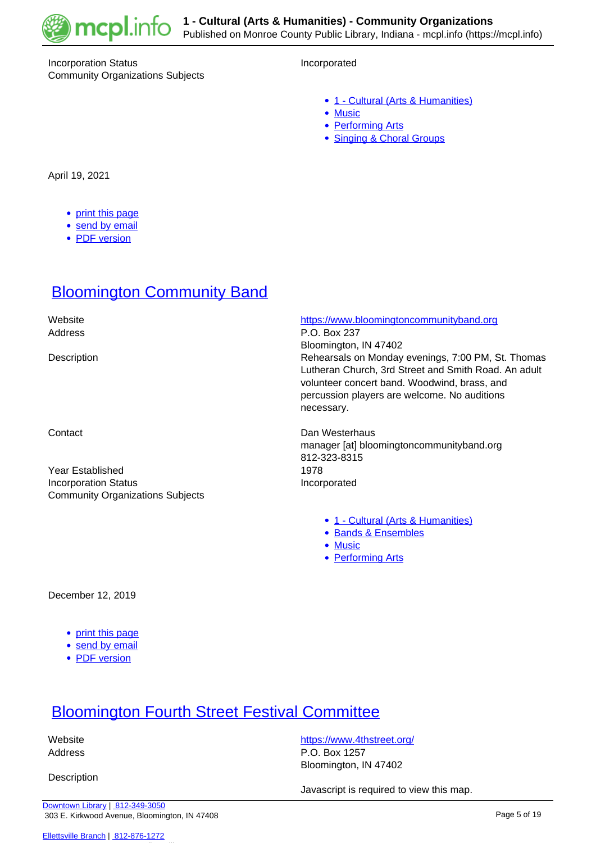

#### Incorporation Status **Incorporated** Community Organizations Subjects

- [1 Cultural \(Arts & Humanities\)](https://mcpl.info/community-organization-subjects/24945)
- [Music](https://mcpl.info/taxonomy/term/25029)
- [Performing Arts](https://mcpl.info/taxonomy/term/25031)
- [Singing & Choral Groups](https://mcpl.info/taxonomy/term/25040)

April 19, 2021

- [print this page](https://mcpl.info/print/commorg/bloomington-chamber-singers?mini=2021-09)
- [send by email](https://mcpl.info/printmail/commorg/bloomington-chamber-singers?mini=2021-09)
- [PDF version](https://mcpl.info/printpdf/commorg/bloomington-chamber-singers?mini=2021-09)

### **[Bloomington Community Band](https://mcpl.info/commorg/bloomington-community-band)**

 Website <https://www.bloomingtoncommunityband.org> Address P.O. Box 237 Bloomington, IN 47402 Description Rehearsals on Monday evenings, 7:00 PM, St. Thomas Lutheran Church, 3rd Street and Smith Road. An adult volunteer concert band. Woodwind, brass, and percussion players are welcome. No auditions necessary. Contact **Dan Westerhaus** manager [at] bloomingtoncommunityband.org 812-323-8315 Year Established 1978 Incorporation Status **Incorporated** Community Organizations Subjects [1 - Cultural \(Arts & Humanities\)](https://mcpl.info/community-organization-subjects/24945) **[Bands & Ensembles](https://mcpl.info/taxonomy/term/25011)** • [Music](https://mcpl.info/taxonomy/term/25029) • [Performing Arts](https://mcpl.info/taxonomy/term/25031)

December 12, 2019

- [print this page](https://mcpl.info/print/commorg/bloomington-community-band?mini=2021-09)
- [send by email](https://mcpl.info/printmail/commorg/bloomington-community-band?mini=2021-09)
- [PDF version](https://mcpl.info/printpdf/commorg/bloomington-community-band?mini=2021-09)

# [Bloomington Fourth Street Festival Committee](https://mcpl.info/commorg/bloomington-fourth-street-festival-committee)

**Description** 

Website **<https://www.4thstreet.org/>** Address P.O. Box 1257 Bloomington, IN 47402

Javascript is required to view this map.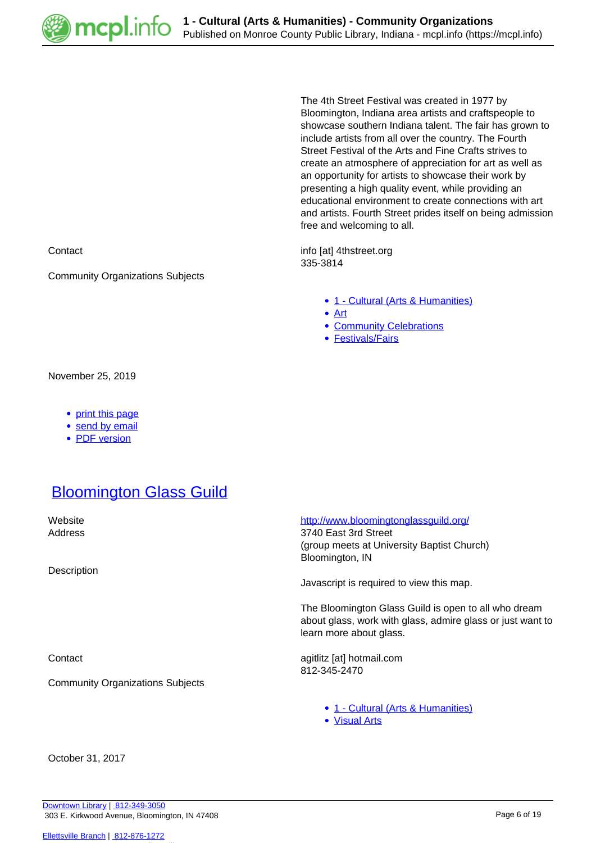

The 4th Street Festival was created in 1977 by Bloomington, Indiana area artists and craftspeople to showcase southern Indiana talent. The fair has grown to include artists from all over the country. The Fourth Street Festival of the Arts and Fine Crafts strives to create an atmosphere of appreciation for art as well as an opportunity for artists to showcase their work by presenting a high quality event, while providing an educational environment to create connections with art and artists. Fourth Street prides itself on being admission free and welcoming to all.

Contact **info [at] 4thstreet.org** 335-3814

- [1 Cultural \(Arts & Humanities\)](https://mcpl.info/community-organization-subjects/24945)
- [Art](https://mcpl.info/taxonomy/term/25010)
- [Community Celebrations](https://mcpl.info/taxonomy/term/25014)
- [Festivals/Fairs](https://mcpl.info/taxonomy/term/25019)

November 25, 2019

• [print this page](https://mcpl.info/print/commorg/bloomington-fourth-street-festival-committee?mini=2021-09)

Community Organizations Subjects

- [send by email](https://mcpl.info/printmail/commorg/bloomington-fourth-street-festival-committee?mini=2021-09)
- [PDF version](https://mcpl.info/printpdf/commorg/bloomington-fourth-street-festival-committee?mini=2021-09)

#### **[Bloomington Glass Guild](https://mcpl.info/commorg/bloomington-glass-guild)**

Description

Community Organizations Subjects

Website **<http://www.bloomingtonglassguild.org/>** 

Address 3740 East 3rd Street (group meets at University Baptist Church) Bloomington, IN

Javascript is required to view this map.

The Bloomington Glass Guild is open to all who dream about glass, work with glass, admire glass or just want to learn more about glass.

Contact agitlitz [at] hotmail.com 812-345-2470

- [1 Cultural \(Arts & Humanities\)](https://mcpl.info/community-organization-subjects/24945)
- [Visual Arts](https://mcpl.info/taxonomy/term/25043)

October 31, 2017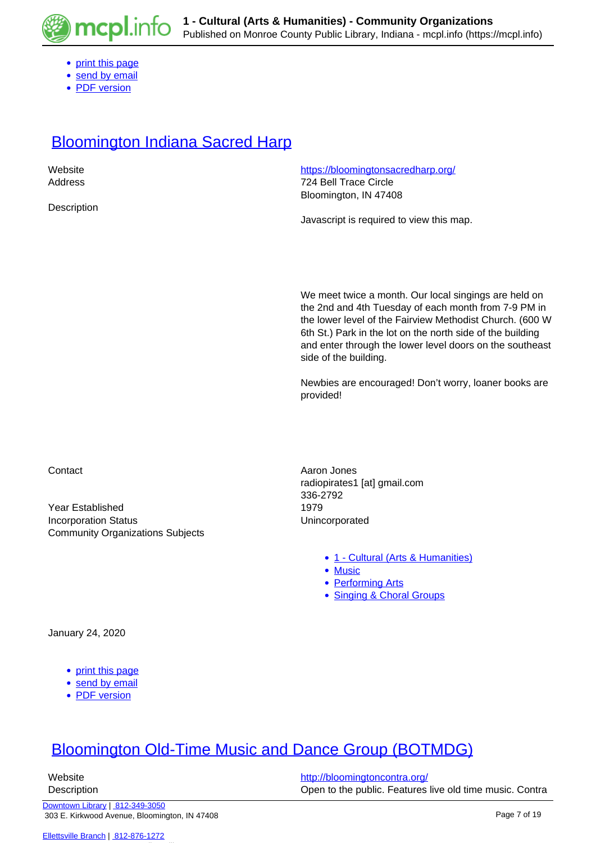

- [print this page](https://mcpl.info/print/commorg/bloomington-glass-guild?mini=2021-09)
- [send by email](https://mcpl.info/printmail/commorg/bloomington-glass-guild?mini=2021-09)
- [PDF version](https://mcpl.info/printpdf/commorg/bloomington-glass-guild?mini=2021-09)

#### **[Bloomington Indiana Sacred Harp](https://mcpl.info/commorg/bloomington-indiana-sacred-harp)**

| Website     | https://bloomingtonsacredharp.org/       |
|-------------|------------------------------------------|
| Address     | 724 Bell Trace Circle                    |
|             | Bloomington, IN 47408                    |
| Description |                                          |
|             | Javascript is required to view this map. |

We meet twice a month. Our local singings are held on the 2nd and 4th Tuesday of each month from 7-9 PM in the lower level of the Fairview Methodist Church. (600 W 6th St.) Park in the lot on the north side of the building and enter through the lower level doors on the southeast side of the building.

Newbies are encouraged! Don't worry, loaner books are provided!

Year Established 1979 Incorporation Status **Incorporated** Community Organizations Subjects

Contact **Aaron Jones Aaron Jones** radiopirates1 [at] gmail.com 336-2792

- [1 Cultural \(Arts & Humanities\)](https://mcpl.info/community-organization-subjects/24945)
- [Music](https://mcpl.info/taxonomy/term/25029)
- [Performing Arts](https://mcpl.info/taxonomy/term/25031)
- [Singing & Choral Groups](https://mcpl.info/taxonomy/term/25040)

January 24, 2020

- [print this page](https://mcpl.info/print/commorg/bloomington-indiana-sacred-harp?mini=2021-09)
- [send by email](https://mcpl.info/printmail/commorg/bloomington-indiana-sacred-harp?mini=2021-09)
- [PDF version](https://mcpl.info/printpdf/commorg/bloomington-indiana-sacred-harp?mini=2021-09)

### [Bloomington Old-Time Music and Dance Group \(BOTMDG\)](https://mcpl.info/commorg/bloomington-old-time-music-and-dance-group-botmdg)

Website **<http://bloomingtoncontra.org/>** Description Open to the public. Features live old time music. Contra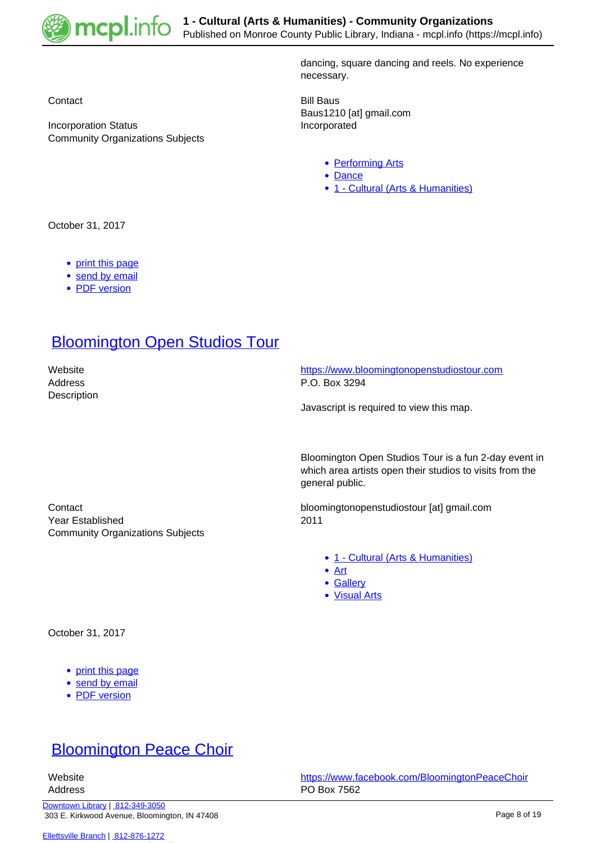

Community Organizations Subjects

dancing, square dancing and reels. No experience necessary.

Contact **Bill Baus** Baus1210 [at] gmail.com Incorporation Status **Incorporated** 

- [Performing Arts](https://mcpl.info/taxonomy/term/25031)
- [Dance](https://mcpl.info/taxonomy/term/25016)
- [1 Cultural \(Arts & Humanities\)](https://mcpl.info/community-organization-subjects/24945)

October 31, 2017

- [print this page](https://mcpl.info/print/commorg/bloomington-old-time-music-and-dance-group-botmdg?mini=2021-09)
- [send by email](https://mcpl.info/printmail/commorg/bloomington-old-time-music-and-dance-group-botmdg?mini=2021-09)
- [PDF version](https://mcpl.info/printpdf/commorg/bloomington-old-time-music-and-dance-group-botmdg?mini=2021-09)

#### **[Bloomington Open Studios Tour](https://mcpl.info/commorg/bloomington-open-studios-tour)**

**Description** 

 Website <https://www.bloomingtonopenstudiostour.com> Address P.O. Box 3294

Javascript is required to view this map.

Bloomington Open Studios Tour is a fun 2-day event in which area artists open their studios to visits from the general public.

Contact bloomingtonopenstudiostour [at] gmail.com

- [1 Cultural \(Arts & Humanities\)](https://mcpl.info/community-organization-subjects/24945)
- [Art](https://mcpl.info/taxonomy/term/25010)
- [Gallery](https://mcpl.info/taxonomy/term/25021)
- [Visual Arts](https://mcpl.info/taxonomy/term/25043)

Year Established 2011 Community Organizations Subjects

October 31, 2017

- [print this page](https://mcpl.info/print/commorg/bloomington-open-studios-tour?mini=2021-09)
- [send by email](https://mcpl.info/printmail/commorg/bloomington-open-studios-tour?mini=2021-09)
- [PDF version](https://mcpl.info/printpdf/commorg/bloomington-open-studios-tour?mini=2021-09)

#### **[Bloomington Peace Choir](https://mcpl.info/commorg/bloomington-peace-choir)**

 Website <https://www.facebook.com/BloomingtonPeaceChoir> Address **PO Box 7562**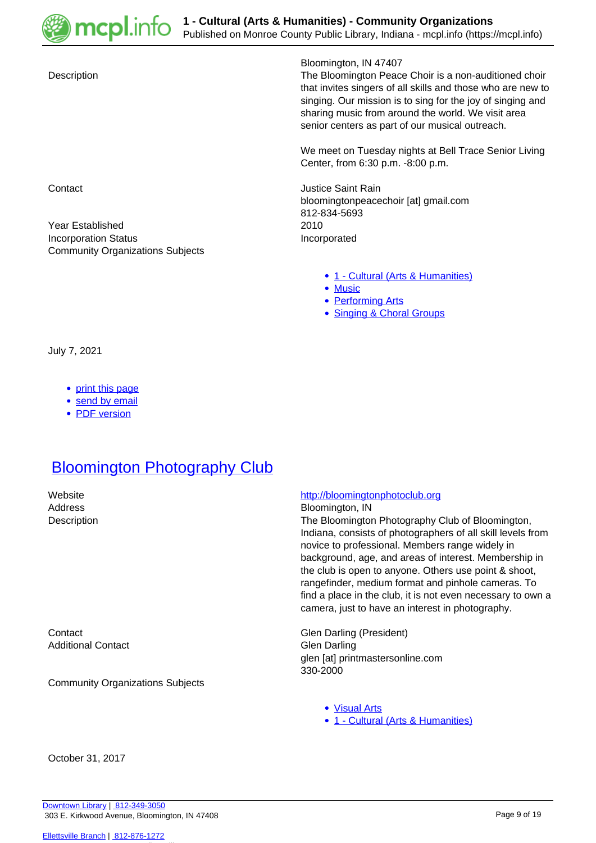

#### Bloomington, IN 47407

Description The Bloomington Peace Choir is a non-auditioned choir that invites singers of all skills and those who are new to singing. Our mission is to sing for the joy of singing and sharing music from around the world. We visit area senior centers as part of our musical outreach.

> We meet on Tuesday nights at Bell Trace Senior Living Center, from 6:30 p.m. -8:00 p.m.

**Contact** Contact **Justice Saint Rain** bloomingtonpeacechoir [at] gmail.com 812-834-5693 Year Established 2010 Incorporation Status **Incorporated** 

- [1 Cultural \(Arts & Humanities\)](https://mcpl.info/community-organization-subjects/24945)
- [Music](https://mcpl.info/taxonomy/term/25029)
- [Performing Arts](https://mcpl.info/taxonomy/term/25031)
- [Singing & Choral Groups](https://mcpl.info/taxonomy/term/25040)

July 7, 2021

• [print this page](https://mcpl.info/print/commorg/bloomington-peace-choir?mini=2021-09)

Community Organizations Subjects

- [send by email](https://mcpl.info/printmail/commorg/bloomington-peace-choir?mini=2021-09)
- [PDF version](https://mcpl.info/printpdf/commorg/bloomington-peace-choir?mini=2021-09)

#### **[Bloomington Photography Club](https://mcpl.info/commorg/bloomington-photography-club)**

Additional Contact **Glen** Darling

Community Organizations Subjects

#### Website **<http://bloomingtonphotoclub.org>**

Address Bloomington, IN

Description The Bloomington Photography Club of Bloomington, Indiana, consists of photographers of all skill levels from novice to professional. Members range widely in background, age, and areas of interest. Membership in the club is open to anyone. Others use point & shoot, rangefinder, medium format and pinhole cameras. To find a place in the club, it is not even necessary to own a camera, just to have an interest in photography.

Contact Contact Contact Contact Contact Contact Contact Contact Contact Contact Contact Contact Contact Contact Contact Contact Contact Contact Contact Contact Contact Contact Contact Contact Contact Contact Contact Contac glen [at] printmastersonline.com 330-2000

- [Visual Arts](https://mcpl.info/taxonomy/term/25043)
- [1 Cultural \(Arts & Humanities\)](https://mcpl.info/community-organization-subjects/24945)

October 31, 2017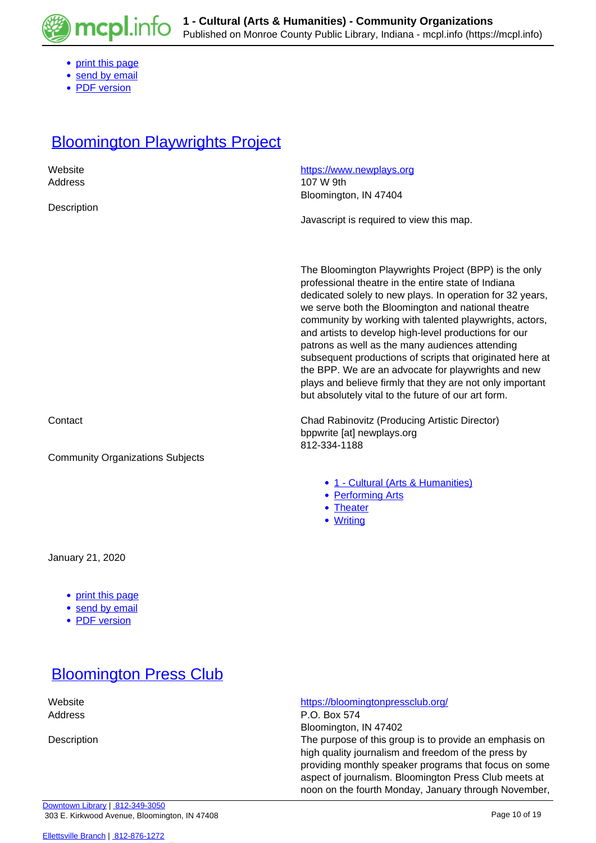

- [print this page](https://mcpl.info/print/commorg/bloomington-photography-club?mini=2021-09)
- [send by email](https://mcpl.info/printmail/commorg/bloomington-photography-club?mini=2021-09)
- [PDF version](https://mcpl.info/printpdf/commorg/bloomington-photography-club?mini=2021-09)

# **[Bloomington Playwrights Project](https://mcpl.info/commorg/bloomington-playwrights-project)**

| Website                                               | https://www.newplays.org                                                                                                                                                                                                                                                                                                                                                                                                                                                                                                                                                                                                                       |
|-------------------------------------------------------|------------------------------------------------------------------------------------------------------------------------------------------------------------------------------------------------------------------------------------------------------------------------------------------------------------------------------------------------------------------------------------------------------------------------------------------------------------------------------------------------------------------------------------------------------------------------------------------------------------------------------------------------|
| Address                                               | 107 W 9th                                                                                                                                                                                                                                                                                                                                                                                                                                                                                                                                                                                                                                      |
|                                                       | Bloomington, IN 47404                                                                                                                                                                                                                                                                                                                                                                                                                                                                                                                                                                                                                          |
| Description                                           |                                                                                                                                                                                                                                                                                                                                                                                                                                                                                                                                                                                                                                                |
|                                                       | Javascript is required to view this map.                                                                                                                                                                                                                                                                                                                                                                                                                                                                                                                                                                                                       |
|                                                       |                                                                                                                                                                                                                                                                                                                                                                                                                                                                                                                                                                                                                                                |
|                                                       |                                                                                                                                                                                                                                                                                                                                                                                                                                                                                                                                                                                                                                                |
|                                                       | The Bloomington Playwrights Project (BPP) is the only<br>professional theatre in the entire state of Indiana<br>dedicated solely to new plays. In operation for 32 years,<br>we serve both the Bloomington and national theatre<br>community by working with talented playwrights, actors,<br>and artists to develop high-level productions for our<br>patrons as well as the many audiences attending<br>subsequent productions of scripts that originated here at<br>the BPP. We are an advocate for playwrights and new<br>plays and believe firmly that they are not only important<br>but absolutely vital to the future of our art form. |
|                                                       |                                                                                                                                                                                                                                                                                                                                                                                                                                                                                                                                                                                                                                                |
| Contact                                               | Chad Rabinovitz (Producing Artistic Director)<br>bppwrite [at] newplays.org                                                                                                                                                                                                                                                                                                                                                                                                                                                                                                                                                                    |
|                                                       | 812-334-1188                                                                                                                                                                                                                                                                                                                                                                                                                                                                                                                                                                                                                                   |
| <b>Community Organizations Subjects</b>               |                                                                                                                                                                                                                                                                                                                                                                                                                                                                                                                                                                                                                                                |
|                                                       |                                                                                                                                                                                                                                                                                                                                                                                                                                                                                                                                                                                                                                                |
|                                                       | • 1 - Cultural (Arts & Humanities)<br>• Performing Arts                                                                                                                                                                                                                                                                                                                                                                                                                                                                                                                                                                                        |
|                                                       | • Theater                                                                                                                                                                                                                                                                                                                                                                                                                                                                                                                                                                                                                                      |
|                                                       | • Writing                                                                                                                                                                                                                                                                                                                                                                                                                                                                                                                                                                                                                                      |
|                                                       |                                                                                                                                                                                                                                                                                                                                                                                                                                                                                                                                                                                                                                                |
| January 21, 2020                                      |                                                                                                                                                                                                                                                                                                                                                                                                                                                                                                                                                                                                                                                |
| • print this page<br>• send by email<br>• PDF version |                                                                                                                                                                                                                                                                                                                                                                                                                                                                                                                                                                                                                                                |

### **[Bloomington Press Club](https://mcpl.info/commorg/bloomington-press-club)**

Website <https://bloomingtonpressclub.org/>

Address P.O. Box 574

Bloomington, IN 47402 Description The purpose of this group is to provide an emphasis on high quality journalism and freedom of the press by providing monthly speaker programs that focus on some aspect of journalism. Bloomington Press Club meets at noon on the fourth Monday, January through November,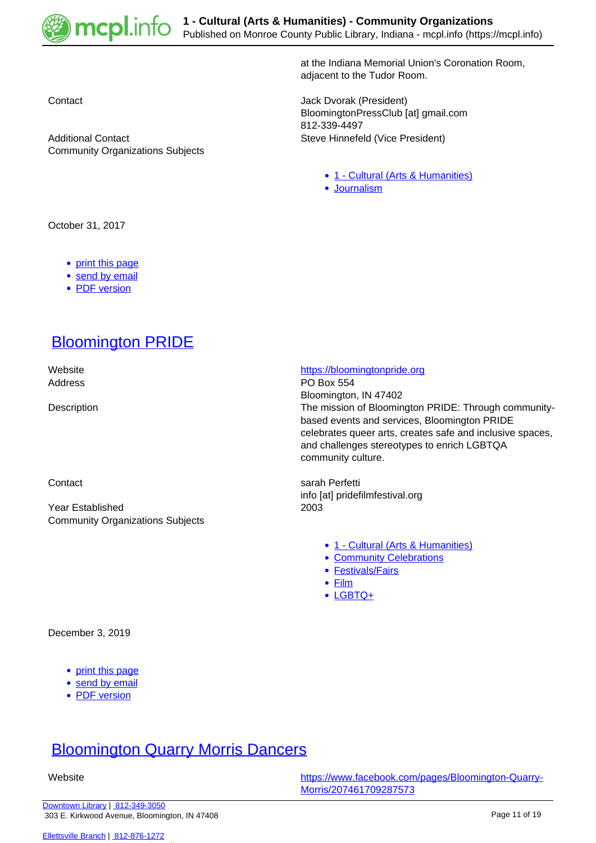

at the Indiana Memorial Union's Coronation Room, adjacent to the Tudor Room.

Contact Jack Dvorak (President) BloomingtonPressClub [at] gmail.com 812-339-4497 Additional Contact **Steve Hinnefeld (Vice President)** 

- [1 Cultural \(Arts & Humanities\)](https://mcpl.info/community-organization-subjects/24945)
- [Journalism](https://mcpl.info/taxonomy/term/25154)

October 31, 2017

- [print this page](https://mcpl.info/print/commorg/bloomington-press-club?mini=2021-09)
- [send by email](https://mcpl.info/printmail/commorg/bloomington-press-club?mini=2021-09)
- [PDF version](https://mcpl.info/printpdf/commorg/bloomington-press-club?mini=2021-09)

# [Bloomington PRIDE](https://mcpl.info/commorg/bloomington-pride)

Community Organizations Subjects

Year Established 2003 Community Organizations Subjects

#### Website **<https://bloomingtonpride.org>**

Address **PO** Box 554 Bloomington, IN 47402 Description The mission of Bloomington PRIDE: Through communitybased events and services, Bloomington PRIDE celebrates queer arts, creates safe and inclusive spaces, and challenges stereotypes to enrich LGBTQA community culture.

Contact **Sarah Perfetti** Sarah Perfetti info [at] pridefilmfestival.org

- [1 Cultural \(Arts & Humanities\)](https://mcpl.info/community-organization-subjects/24945)
- [Community Celebrations](https://mcpl.info/taxonomy/term/25014)
- [Festivals/Fairs](https://mcpl.info/taxonomy/term/25019)
- [Film](https://mcpl.info/taxonomy/term/25020)
- [LGBTQ+](https://mcpl.info/taxonomy/term/24971)

#### December 3, 2019

- [print this page](https://mcpl.info/print/commorg/bloomington-pride?mini=2021-09)
- [send by email](https://mcpl.info/printmail/commorg/bloomington-pride?mini=2021-09)
- [PDF version](https://mcpl.info/printpdf/commorg/bloomington-pride?mini=2021-09)

#### [Bloomington Quarry Morris Dancers](https://mcpl.info/commorg/bloomington-quarry-morris-dancers)

 Website [https://www.facebook.com/pages/Bloomington-Quarry-](https://www.facebook.com/pages/Bloomington-Quarry-Morris/207461709287573)[Morris/207461709287573](https://www.facebook.com/pages/Bloomington-Quarry-Morris/207461709287573)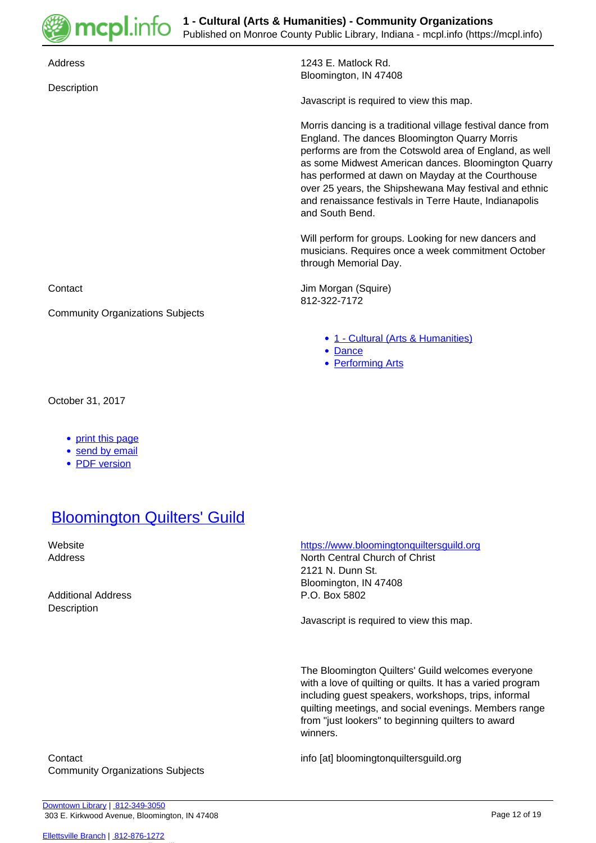

| Address                                                                          | 1243 E. Matlock Rd.<br>Bloomington, IN 47408                                                                                                                                                                                                                                                                                                                                                                               |
|----------------------------------------------------------------------------------|----------------------------------------------------------------------------------------------------------------------------------------------------------------------------------------------------------------------------------------------------------------------------------------------------------------------------------------------------------------------------------------------------------------------------|
| Description                                                                      | Javascript is required to view this map.                                                                                                                                                                                                                                                                                                                                                                                   |
|                                                                                  | Morris dancing is a traditional village festival dance from<br>England. The dances Bloomington Quarry Morris<br>performs are from the Cotswold area of England, as well<br>as some Midwest American dances. Bloomington Quarry<br>has performed at dawn on Mayday at the Courthouse<br>over 25 years, the Shipshewana May festival and ethnic<br>and renaissance festivals in Terre Haute, Indianapolis<br>and South Bend. |
|                                                                                  | Will perform for groups. Looking for new dancers and<br>musicians. Requires once a week commitment October<br>through Memorial Day.                                                                                                                                                                                                                                                                                        |
| Contact                                                                          | Jim Morgan (Squire)<br>812-322-7172                                                                                                                                                                                                                                                                                                                                                                                        |
| <b>Community Organizations Subjects</b>                                          |                                                                                                                                                                                                                                                                                                                                                                                                                            |
|                                                                                  | • 1 - Cultural (Arts & Humanities)<br>• Dance<br>• Performing Arts                                                                                                                                                                                                                                                                                                                                                         |
| October 31, 2017                                                                 |                                                                                                                                                                                                                                                                                                                                                                                                                            |
| print this page<br>$\bullet$<br>send by email<br><b>PDF</b> version<br>$\bullet$ |                                                                                                                                                                                                                                                                                                                                                                                                                            |

# **[Bloomington Quilters' Guild](https://mcpl.info/commorg/bloomington-quilters-guild)**

Additional Address **P.O. Box 5802 Description** 

 Website <https://www.bloomingtonquiltersguild.org> Address North Central Church of Christ 2121 N. Dunn St. Bloomington, IN 47408

Javascript is required to view this map.

The Bloomington Quilters' Guild welcomes everyone with a love of quilting or quilts. It has a varied program including guest speakers, workshops, trips, informal quilting meetings, and social evenings. Members range from "just lookers" to beginning quilters to award winners.

Contact info [at] bloomingtonquiltersguild.org Community Organizations Subjects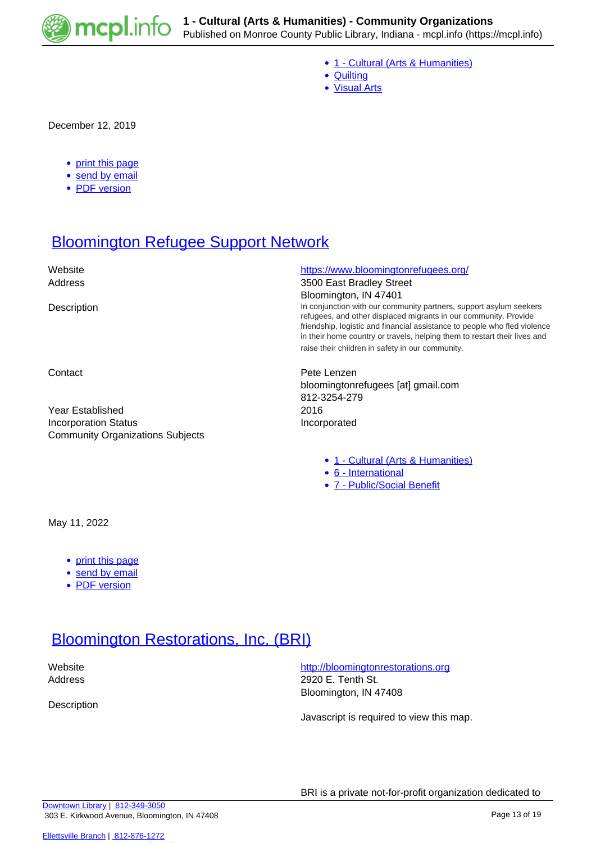

- [1 Cultural \(Arts & Humanities\)](https://mcpl.info/community-organization-subjects/24945)
- [Quilting](https://mcpl.info/taxonomy/term/25035)
- [Visual Arts](https://mcpl.info/taxonomy/term/25043)

December 12, 2019

- [print this page](https://mcpl.info/print/commorg/bloomington-quilters-guild?mini=2021-09)
- [send by email](https://mcpl.info/printmail/commorg/bloomington-quilters-guild?mini=2021-09)
- [PDF version](https://mcpl.info/printpdf/commorg/bloomington-quilters-guild?mini=2021-09)

# **[Bloomington Refugee Support Network](https://mcpl.info/commorg/bloomington-refugee-support-network)**

| Website<br>Address                                                     | https://www.bloomingtonrefugees.org/<br>3500 East Bradley Street                                                                                                                                                                                                                                                                                     |
|------------------------------------------------------------------------|------------------------------------------------------------------------------------------------------------------------------------------------------------------------------------------------------------------------------------------------------------------------------------------------------------------------------------------------------|
|                                                                        | Bloomington, IN 47401                                                                                                                                                                                                                                                                                                                                |
| Description                                                            | In conjunction with our community partners, support asylum seekers<br>refugees, and other displaced migrants in our community. Provide<br>friendship, logistic and financial assistance to people who fled violence<br>in their home country or travels, helping them to restart their lives and<br>raise their children in safety in our community. |
| Contact                                                                | Pete Lenzen<br>bloomingtonrefugees [at] gmail.com<br>812-3254-279                                                                                                                                                                                                                                                                                    |
| Year Established                                                       | 2016                                                                                                                                                                                                                                                                                                                                                 |
| <b>Incorporation Status</b><br><b>Community Organizations Subjects</b> | Incorporated                                                                                                                                                                                                                                                                                                                                         |

- [1 Cultural \(Arts & Humanities\)](https://mcpl.info/community-organization-subjects/24945)
- [6 International](https://mcpl.info/taxonomy/term/24951)
- [7 Public/Social Benefit](https://mcpl.info/taxonomy/term/24952)

May 11, 2022

- [print this page](https://mcpl.info/print/commorg/bloomington-refugee-support-network?mini=2021-09)
- [send by email](https://mcpl.info/printmail/commorg/bloomington-refugee-support-network?mini=2021-09)
- [PDF version](https://mcpl.info/printpdf/commorg/bloomington-refugee-support-network?mini=2021-09)

#### **[Bloomington Restorations, Inc. \(BRI\)](https://mcpl.info/commorg/bloomington-restorations-inc-bri)**

**Description** 

Website **<http://bloomingtonrestorations.org>** Address 2920 E. Tenth St. Bloomington, IN 47408

Javascript is required to view this map.

BRI is a private not-for-profit organization dedicated to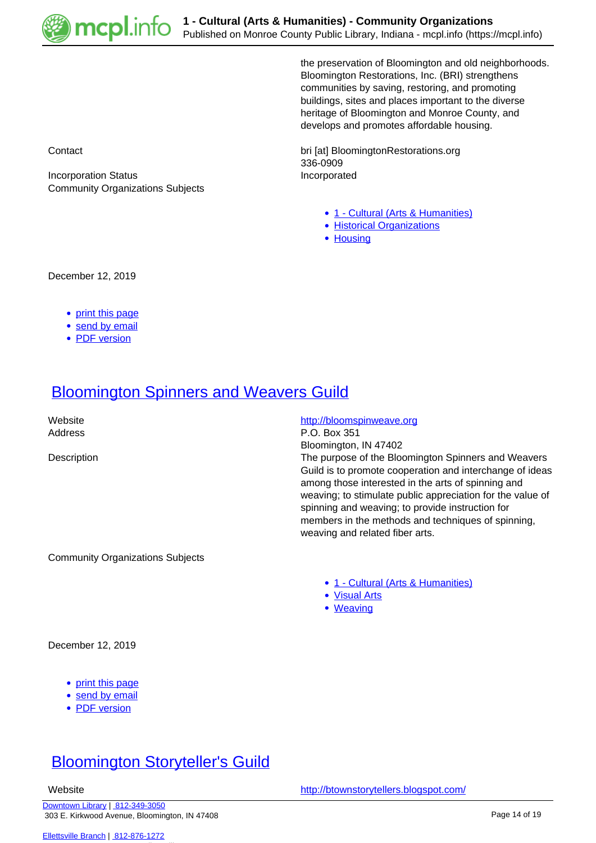

the preservation of Bloomington and old neighborhoods. Bloomington Restorations, Inc. (BRI) strengthens communities by saving, restoring, and promoting buildings, sites and places important to the diverse heritage of Bloomington and Monroe County, and develops and promotes affordable housing.

Contact bri [at] BloomingtonRestorations.org 336-0909

- [1 Cultural \(Arts & Humanities\)](https://mcpl.info/community-organization-subjects/24945)
- [Historical Organizations](https://mcpl.info/taxonomy/term/25024)
- [Housing](https://mcpl.info/taxonomy/term/25111)

Incorporation Status **Incorporated** Community Organizations Subjects

December 12, 2019

- [print this page](https://mcpl.info/print/commorg/bloomington-restorations-inc-bri?mini=2021-09)
- [send by email](https://mcpl.info/printmail/commorg/bloomington-restorations-inc-bri?mini=2021-09)
- [PDF version](https://mcpl.info/printpdf/commorg/bloomington-restorations-inc-bri?mini=2021-09)

#### **[Bloomington Spinners and Weavers Guild](https://mcpl.info/commorg/bloomington-spinners-and-weavers-guild)**

Website **<http://bloomspinweave.org>** Address P.O. Box 351 Bloomington, IN 47402 Description The purpose of the Bloomington Spinners and Weavers Guild is to promote cooperation and interchange of ideas among those interested in the arts of spinning and weaving; to stimulate public appreciation for the value of spinning and weaving; to provide instruction for members in the methods and techniques of spinning, weaving and related fiber arts.

Community Organizations Subjects

- [1 Cultural \(Arts & Humanities\)](https://mcpl.info/community-organization-subjects/24945)
- [Visual Arts](https://mcpl.info/taxonomy/term/25043)
- [Weaving](https://mcpl.info/taxonomy/term/25044)

December 12, 2019

- [print this page](https://mcpl.info/print/commorg/bloomington-spinners-and-weavers-guild?mini=2021-09)
- [send by email](https://mcpl.info/printmail/commorg/bloomington-spinners-and-weavers-guild?mini=2021-09)
- [PDF version](https://mcpl.info/printpdf/commorg/bloomington-spinners-and-weavers-guild?mini=2021-09)

### [Bloomington Storyteller's Guild](https://mcpl.info/commorg/bloomington-storytellers-guild)

[Downtown Library](https://mcpl.info/geninfo/downtown-library) | [812-349-3050](tel:812-349-3050) 303 E. Kirkwood Avenue, Bloomington, IN 47408

Website <http://btownstorytellers.blogspot.com/>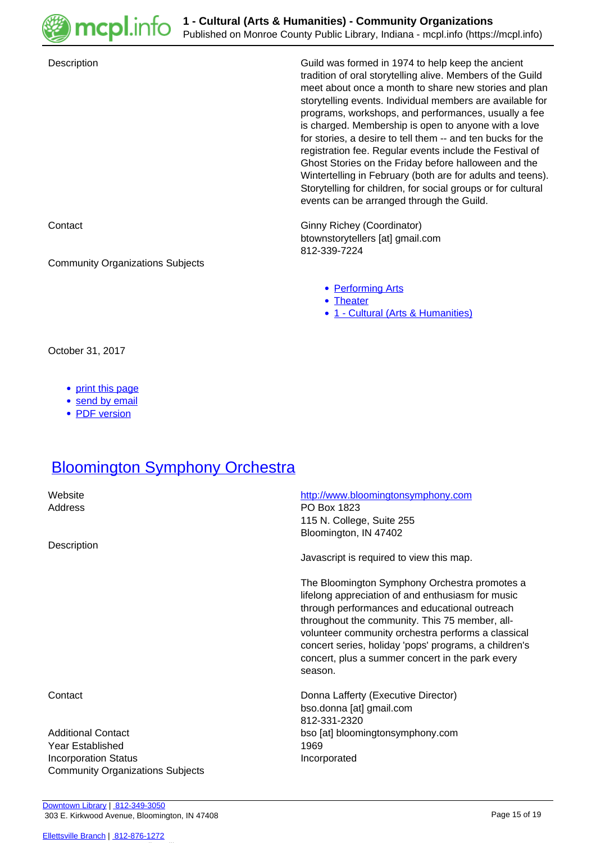

| Description                             | Guild was formed in 1974 to help keep the ancient<br>tradition of oral storytelling alive. Members of the Guild<br>meet about once a month to share new stories and plan<br>storytelling events. Individual members are available for<br>programs, workshops, and performances, usually a fee<br>is charged. Membership is open to anyone with a love<br>for stories, a desire to tell them -- and ten bucks for the<br>registration fee. Regular events include the Festival of<br>Ghost Stories on the Friday before halloween and the<br>Wintertelling in February (both are for adults and teens).<br>Storytelling for children, for social groups or for cultural<br>events can be arranged through the Guild. |
|-----------------------------------------|---------------------------------------------------------------------------------------------------------------------------------------------------------------------------------------------------------------------------------------------------------------------------------------------------------------------------------------------------------------------------------------------------------------------------------------------------------------------------------------------------------------------------------------------------------------------------------------------------------------------------------------------------------------------------------------------------------------------|
| Contact                                 | Ginny Richey (Coordinator)<br>btownstorytellers [at] gmail.com<br>812-339-7224                                                                                                                                                                                                                                                                                                                                                                                                                                                                                                                                                                                                                                      |
| <b>Community Organizations Subjects</b> |                                                                                                                                                                                                                                                                                                                                                                                                                                                                                                                                                                                                                                                                                                                     |
|                                         | • Performing Arts<br>• Theater<br>• 1 - Cultural (Arts & Humanities)                                                                                                                                                                                                                                                                                                                                                                                                                                                                                                                                                                                                                                                |
| October 31, 2017                        |                                                                                                                                                                                                                                                                                                                                                                                                                                                                                                                                                                                                                                                                                                                     |

- [print this page](https://mcpl.info/print/commorg/bloomington-storytellers-guild?mini=2021-09)
- [send by email](https://mcpl.info/printmail/commorg/bloomington-storytellers-guild?mini=2021-09)
- [PDF version](https://mcpl.info/printpdf/commorg/bloomington-storytellers-guild?mini=2021-09)

### **[Bloomington Symphony Orchestra](https://mcpl.info/commorg/bloomington-symphony-orchestra)**

| Website<br>Address                      | http://www.bloomingtonsymphony.com<br>PO Box 1823<br>115 N. College, Suite 255<br>Bloomington, IN 47402                                                                                                                                                                                                                                                                             |
|-----------------------------------------|-------------------------------------------------------------------------------------------------------------------------------------------------------------------------------------------------------------------------------------------------------------------------------------------------------------------------------------------------------------------------------------|
| Description                             | Javascript is required to view this map.                                                                                                                                                                                                                                                                                                                                            |
|                                         | The Bloomington Symphony Orchestra promotes a<br>lifelong appreciation of and enthusiasm for music<br>through performances and educational outreach<br>throughout the community. This 75 member, all-<br>volunteer community orchestra performs a classical<br>concert series, holiday 'pops' programs, a children's<br>concert, plus a summer concert in the park every<br>season. |
| Contact                                 | Donna Lafferty (Executive Director)<br>bso.donna [at] gmail.com<br>812-331-2320                                                                                                                                                                                                                                                                                                     |
| <b>Additional Contact</b>               | bso [at] bloomingtonsymphony.com                                                                                                                                                                                                                                                                                                                                                    |
| Year Established                        | 1969                                                                                                                                                                                                                                                                                                                                                                                |
| <b>Incorporation Status</b>             | Incorporated                                                                                                                                                                                                                                                                                                                                                                        |
| <b>Community Organizations Subjects</b> |                                                                                                                                                                                                                                                                                                                                                                                     |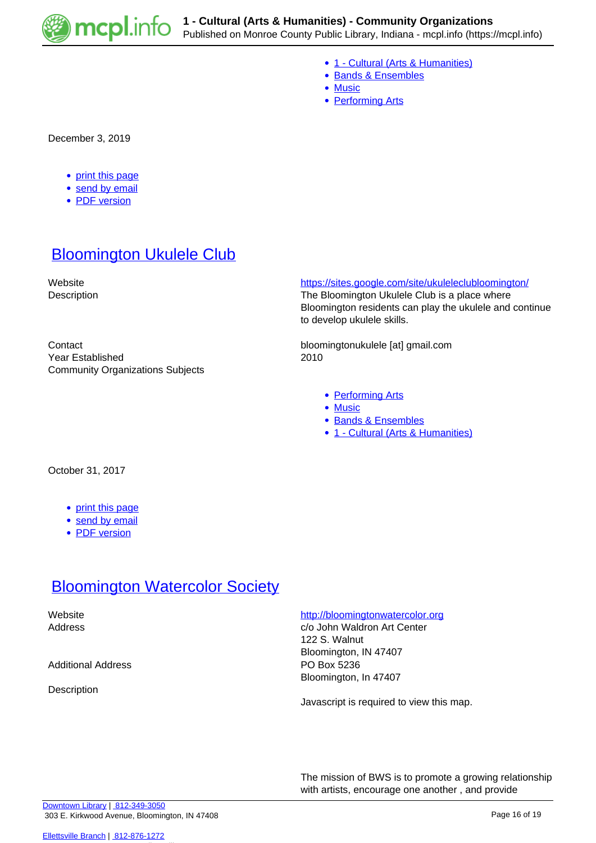

- [1 Cultural \(Arts & Humanities\)](https://mcpl.info/community-organization-subjects/24945)
- [Bands & Ensembles](https://mcpl.info/taxonomy/term/25011)
- [Music](https://mcpl.info/taxonomy/term/25029)
- [Performing Arts](https://mcpl.info/taxonomy/term/25031)

December 3, 2019

- [print this page](https://mcpl.info/print/commorg/bloomington-symphony-orchestra?mini=2021-09)
- [send by email](https://mcpl.info/printmail/commorg/bloomington-symphony-orchestra?mini=2021-09)
- [PDF version](https://mcpl.info/printpdf/commorg/bloomington-symphony-orchestra?mini=2021-09)

#### **[Bloomington Ukulele Club](https://mcpl.info/commorg/bloomington-ukulele-club)**

Year Established 2010 Community Organizations Subjects

#### Website <https://sites.google.com/site/ukuleleclubloomington/>

Description The Bloomington Ukulele Club is a place where Bloomington residents can play the ukulele and continue to develop ukulele skills.

Contact bloomingtonukulele [at] gmail.com

- [Performing Arts](https://mcpl.info/taxonomy/term/25031)
- [Music](https://mcpl.info/taxonomy/term/25029)
- [Bands & Ensembles](https://mcpl.info/taxonomy/term/25011)
- [1 Cultural \(Arts & Humanities\)](https://mcpl.info/community-organization-subjects/24945)

October 31, 2017

- [print this page](https://mcpl.info/print/commorg/bloomington-ukulele-club?mini=2021-09)
- [send by email](https://mcpl.info/printmail/commorg/bloomington-ukulele-club?mini=2021-09)
- [PDF version](https://mcpl.info/printpdf/commorg/bloomington-ukulele-club?mini=2021-09)

#### **[Bloomington Watercolor Society](https://mcpl.info/commorg/bloomington-watercolor-society)**

Additional Address **PO Box 5236** 

Description

#### Website <http://bloomingtonwatercolor.org>/

Address c/o John Waldron Art Center 122 S. Walnut Bloomington, IN 47407 Bloomington, In 47407

Javascript is required to view this map.

The mission of BWS is to promote a growing relationship with artists, encourage one another , and provide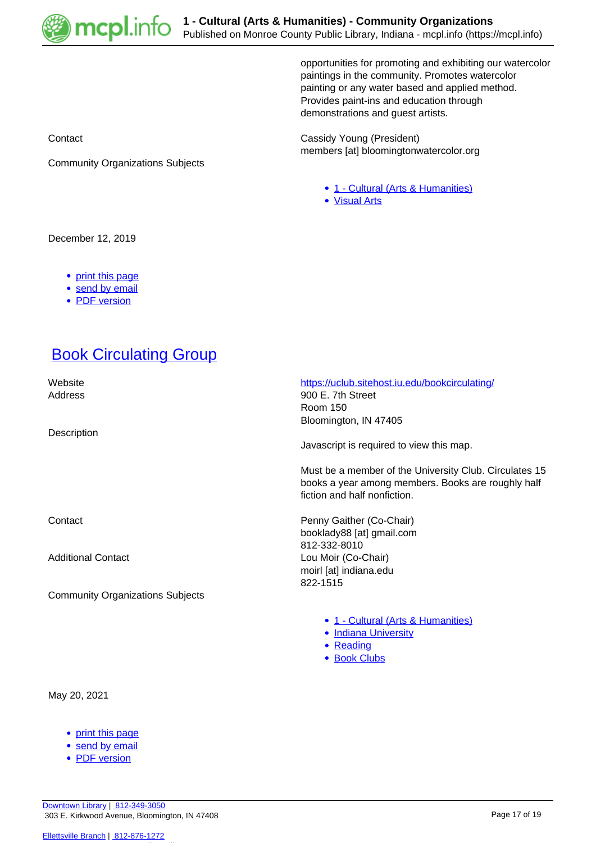

opportunities for promoting and exhibiting our watercolor paintings in the community. Promotes watercolor painting or any water based and applied method. Provides paint-ins and education through demonstrations and guest artists.

Contact Contact Cassidy Young (President) members [at] bloomingtonwatercolor.org

- [1 Cultural \(Arts & Humanities\)](https://mcpl.info/community-organization-subjects/24945)
- [Visual Arts](https://mcpl.info/taxonomy/term/25043)

December 12, 2019

• [print this page](https://mcpl.info/print/commorg/bloomington-watercolor-society?mini=2021-09)

Community Organizations Subjects

- [send by email](https://mcpl.info/printmail/commorg/bloomington-watercolor-society?mini=2021-09)
- [PDF version](https://mcpl.info/printpdf/commorg/bloomington-watercolor-society?mini=2021-09)

### **[Book Circulating Group](https://mcpl.info/commorg/book-circulating-group)**

 Website <https://uclub.sitehost.iu.edu/bookcirculating/> Address 900 E. 7th Street

**Description** 

Community Organizations Subjects

Room 150 Bloomington, IN 47405 Javascript is required to view this map. Must be a member of the University Club. Circulates 15 books a year among members. Books are roughly half fiction and half nonfiction. Contact **Penny Gaither (Co-Chair)** booklady88 [at] gmail.com 812-332-8010

Additional Contact **Lou Moir (Co-Chair)** moirl [at] indiana.edu 822-1515

- [1 Cultural \(Arts & Humanities\)](https://mcpl.info/community-organization-subjects/24945)
- [Indiana University](https://mcpl.info/community-organization-subjects/indiana-university)
- [Reading](https://mcpl.info/taxonomy/term/25037)
- [Book Clubs](https://mcpl.info/taxonomy/term/25148)

May 20, 2021

- [print this page](https://mcpl.info/print/commorg/book-circulating-group?mini=2021-09)
- [send by email](https://mcpl.info/printmail/commorg/book-circulating-group?mini=2021-09)
- [PDF version](https://mcpl.info/printpdf/commorg/book-circulating-group?mini=2021-09)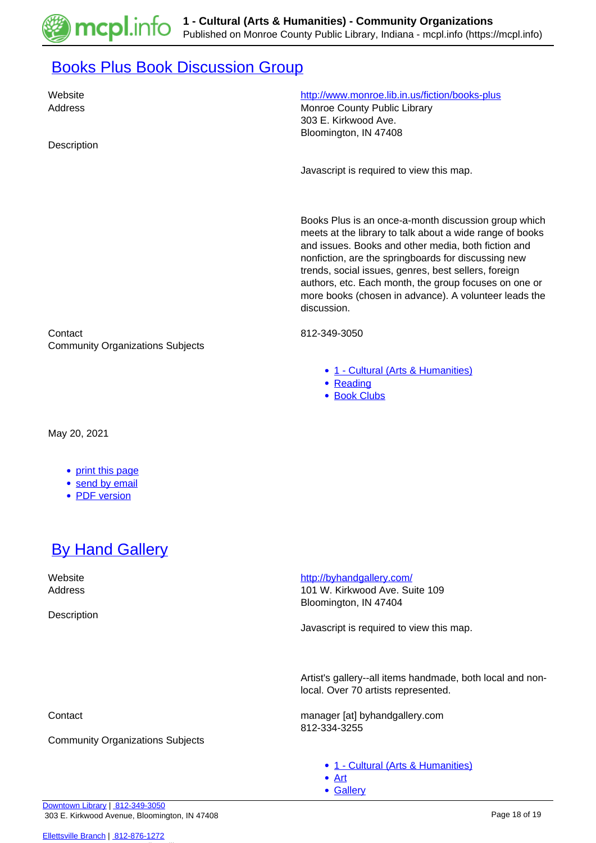

### **[Books Plus Book Discussion Group](https://mcpl.info/commorg/books-plus-book-discussion-group)**

| Website<br>Address<br>Description                             | http://www.monroe.lib.in.us/fiction/books-plus<br>Monroe County Public Library<br>303 E. Kirkwood Ave.<br>Bloomington, IN 47408                                                                                                                                                                                                                                                                                         |
|---------------------------------------------------------------|-------------------------------------------------------------------------------------------------------------------------------------------------------------------------------------------------------------------------------------------------------------------------------------------------------------------------------------------------------------------------------------------------------------------------|
|                                                               | Javascript is required to view this map.                                                                                                                                                                                                                                                                                                                                                                                |
|                                                               | Books Plus is an once-a-month discussion group which<br>meets at the library to talk about a wide range of books<br>and issues. Books and other media, both fiction and<br>nonfiction, are the springboards for discussing new<br>trends, social issues, genres, best sellers, foreign<br>authors, etc. Each month, the group focuses on one or<br>more books (chosen in advance). A volunteer leads the<br>discussion. |
| Contact<br><b>Community Organizations Subjects</b>            | 812-349-3050                                                                                                                                                                                                                                                                                                                                                                                                            |
|                                                               | • 1 - Cultural (Arts & Humanities)<br>• Reading<br>• Book Clubs                                                                                                                                                                                                                                                                                                                                                         |
| May 20, 2021                                                  |                                                                                                                                                                                                                                                                                                                                                                                                                         |
| • print this page<br>send by email<br><b>PDF</b> version<br>٠ |                                                                                                                                                                                                                                                                                                                                                                                                                         |
| <b>By Hand Gallery</b>                                        |                                                                                                                                                                                                                                                                                                                                                                                                                         |
| Website<br>Address<br>Description                             | http://byhandgallery.com/<br>101 W. Kirkwood Ave. Suite 109<br>Bloomington, IN 47404                                                                                                                                                                                                                                                                                                                                    |
|                                                               | Javascript is required to view this map.                                                                                                                                                                                                                                                                                                                                                                                |
|                                                               | Artist's gallery--all items handmade, both local and non-<br>local. Over 70 artists represented.                                                                                                                                                                                                                                                                                                                        |
| Contact                                                       | manager [at] byhandgallery.com                                                                                                                                                                                                                                                                                                                                                                                          |

Community Organizations Subjects

• [1 - Cultural \(Arts & Humanities\)](https://mcpl.info/community-organization-subjects/24945)

[Art](https://mcpl.info/taxonomy/term/25010)

812-334-3255

• [Gallery](https://mcpl.info/taxonomy/term/25021)